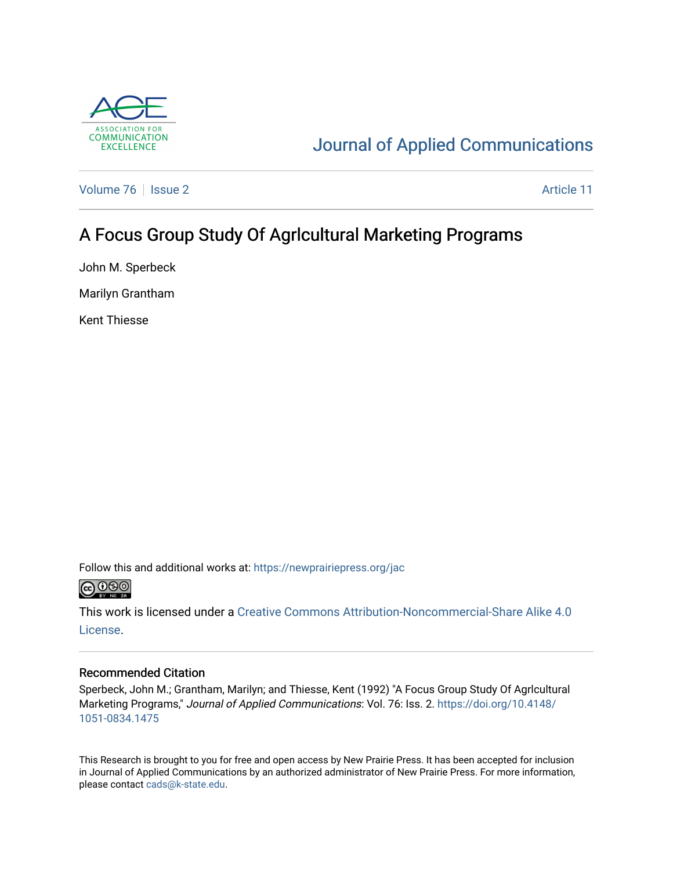

# [Journal of Applied Communications](https://newprairiepress.org/jac)

[Volume 76](https://newprairiepress.org/jac/vol76) | [Issue 2](https://newprairiepress.org/jac/vol76/iss2) Article 11

## A Focus Group Study Of Agrlcultural Marketing Programs

John M. Sperbeck

Marilyn Grantham

Kent Thiesse

Follow this and additional works at: [https://newprairiepress.org/jac](https://newprairiepress.org/jac?utm_source=newprairiepress.org%2Fjac%2Fvol76%2Fiss2%2F11&utm_medium=PDF&utm_campaign=PDFCoverPages)



This work is licensed under a [Creative Commons Attribution-Noncommercial-Share Alike 4.0](https://creativecommons.org/licenses/by-nc-sa/4.0/) [License.](https://creativecommons.org/licenses/by-nc-sa/4.0/)

### Recommended Citation

Sperbeck, John M.; Grantham, Marilyn; and Thiesse, Kent (1992) "A Focus Group Study Of Agrlcultural Marketing Programs," Journal of Applied Communications: Vol. 76: Iss. 2. [https://doi.org/10.4148/](https://doi.org/10.4148/1051-0834.1475) [1051-0834.1475](https://doi.org/10.4148/1051-0834.1475) 

This Research is brought to you for free and open access by New Prairie Press. It has been accepted for inclusion in Journal of Applied Communications by an authorized administrator of New Prairie Press. For more information, please contact [cads@k-state.edu.](mailto:cads@k-state.edu)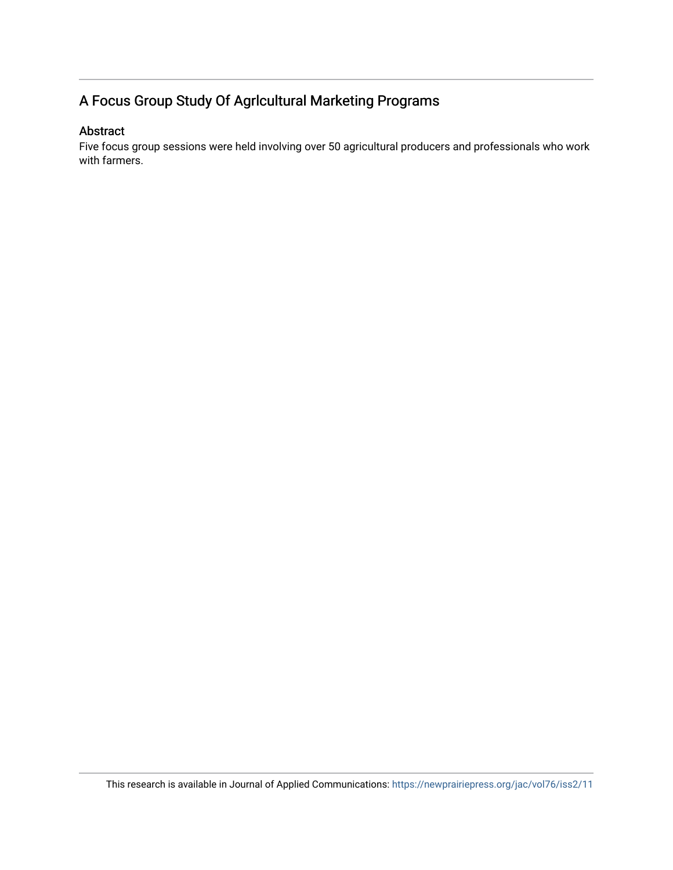## A Focus Group Study Of Agrlcultural Marketing Programs

### Abstract

Five focus group sessions were held involving over 50 agricultural producers and professionals who work with farmers.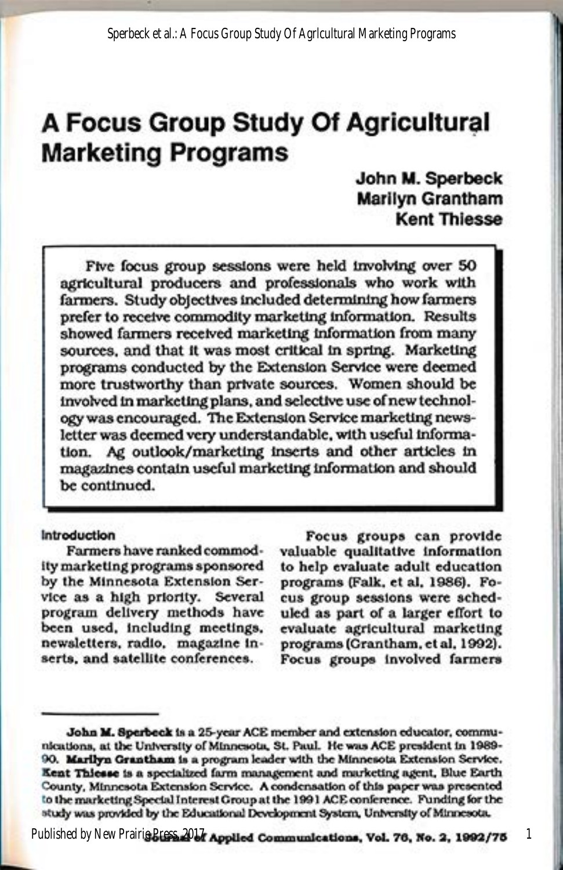# A Focus Group Study Of Agricultural **Marketing Programs**

## John M. Sperbeck **Marilyn Grantham Kent Thiesse**

Five focus group sessions were held involving over 50 agricultural producers and professionals who work with farmers. Study objectives included determining how farmers prefer to receive commodity marketing information. Results showed farmers received marketing information from many sources, and that it was most critical in spring. Marketing programs conducted by the Extension Service were deemed more trustworthy than private sources. Women should be involved in marketing plans, and selective use of new technology was encouraged. The Extension Service marketing newsletter was deemed very understandable, with useful information. Ag outlook/marketing inserts and other articles in magazines contain useful marketing information and should be continued.

#### Introduction

Farmers have ranked commodity marketing programs sponsored by the Minnesota Extension Service as a high priority. Several program delivery methods have been used, including meetings, newsletters, radio, magazine inserts, and satellite conferences.

Focus groups can provide valuable qualitative information to help evaluate adult education programs (Falk, et al, 1986). Focus group sessions were scheduled as part of a larger effort to evaluate agricultural marketing programs (Crantham, et al, 1992). Focus groups involved farmers

Published by New Prairie Bress. 2016 Applied Communications, Vol. 76, No. 2, 1992/75

1

John M. Sperbeck is a 25-year ACE member and extension educator, communications, at the University of Minnesota, St. Paul. He was ACE president in 1989-90. Marilyn Grantham is a program leader with the Minnesota Extension Service. Kent Thiesse is a specialized farm management and marketing agent, Blue Earth County, Minnesota Extension Service. A condensation of this paper was presented to the marketing Special Interest Group at the 1991 ACE conference. Funding for the study was provided by the Educational Development System, University of Minnesota.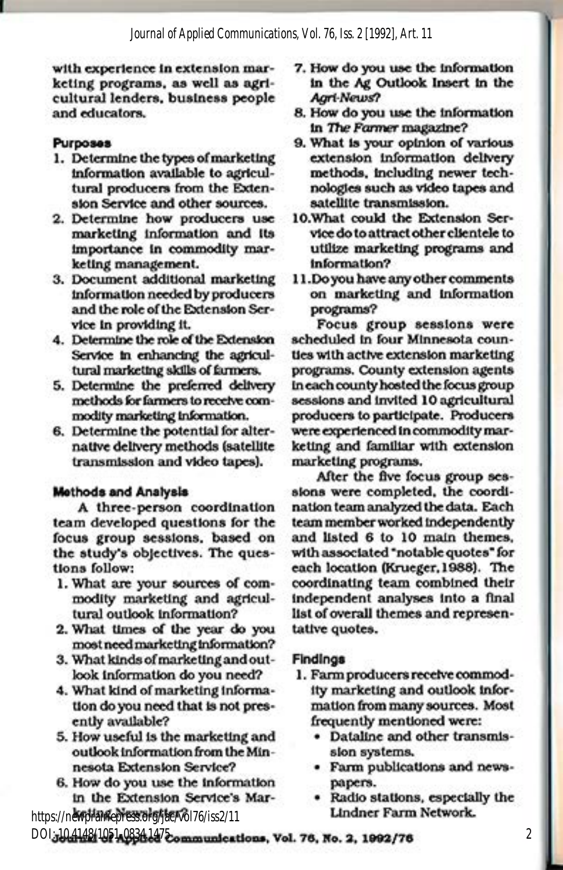with experience in extension marketing programs, as well as agricultural lenders, business people and educators.

#### **Purposes**

- 1. Determine the types of marketing information available to agricultural producers from the Extension Service and other sources.
- 2. Determine how producers use marketing information and its importance in commodity marketing management.
- 3. Document additional marketing information needed by producers and the role of the Extension Service in providing it.
- 4. Determine the role of the Extension Service in enhancing the agricultural marketing skills of farmers.
- 5. Determine the preferred delivery methods for farmers to receive commodity marketing information.
- 6. Determine the potential for alternative delivery methods (satellite transmission and video tapes).

#### **Methods and Analysis**

A three-person coordination team developed questions for the focus group sessions, based on the study's objectives. The questions follow:

- 1. What are your sources of commodity marketing and agricultural outlook information?
- 2. What times of the year do you most need marketing information?
- 3. What kinds of marketing and outlook information do you need?
- 4. What kind of marketing information do you need that is not presently available?
- 5. How useful is the marketing and outlook information from the Minnesota Extension Service?
- 6. How do you use the information in the Extension Service's Mar-

https://newprainepress.org/jae/vol76/iss2/11

- 7. How do you use the information in the Ag Outlook Insert in the **Agri-News?**
- 8. How do you use the information in The Farmer magazine?
- 9. What is your opinion of various extension information delivery methods, including newer technologies such as video tapes and satellite transmission.
- 10. What could the Extension Service do to attract other clientele to utilize marketing programs and information?
- 11. Do you have any other comments on marketing and information programs?

Focus group sessions were scheduled in four Minnesota counties with active extension marketing programs. County extension agents In each county hosted the focus group sessions and invited 10 agricultural producers to participate. Producers were experienced in commodity marketing and familiar with extension marketing programs.

After the five focus group sessions were completed, the coordination team analyzed the data. Each team member worked independently and listed 6 to 10 main themes, with associated "notable quotes" for each location (Krueger, 1988). The coordinating team combined their independent analyses into a final list of overall themes and representative quotes.

#### **Findings**

- 1. Farm producers receive commodity marketing and outlook information from many sources. Most frequently mentioned were:
	- Dataline and other transmission systems.
	- · Farm publications and newspapers.
	- · Radio stations, especially the **Lindner Farm Network.**

DOI.10.4148/1051.083414 communications, Vol. 76, No. 2, 1992/76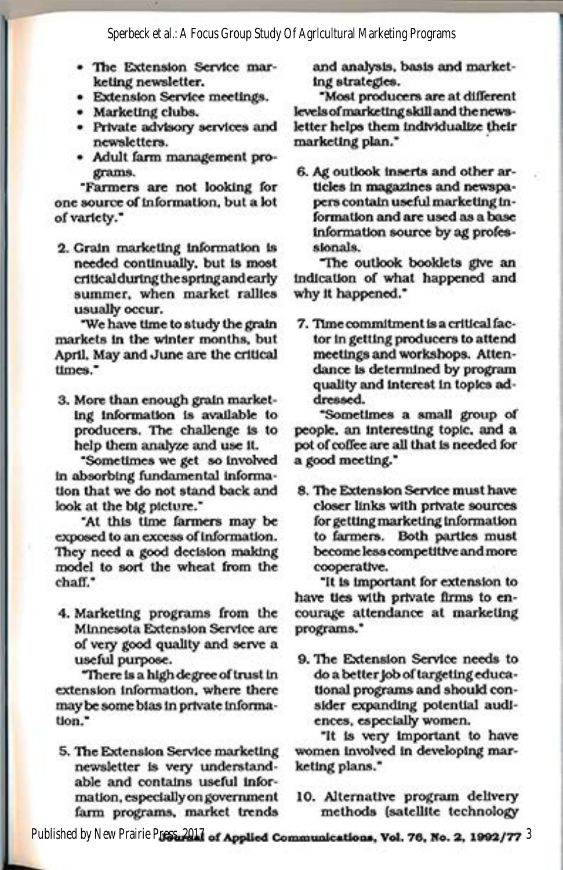Sperbeck et al.: A Focus Group Study Of Agricultural Marketing Programs

- The Extension Service marketing newsletter.
- · Extension Service meetings.
- · Marketing clubs.
- Private advisory services and newsletters.
- · Adult farm management programs.

"Farmers are not looking for one source of information, but a lot of variety."

2. Grain marketing information is needed continually, but is most critical during the spring and early summer, when market rallies usually occur.

"We have time to study the grain markets in the winter months, but April, May and June are the critical times."

3. More than enough grain marketing information is available to producers. The challenge is to help them analyze and use it.

Sometimes we get so involved in absorbing fundamental information that we do not stand back and look at the big picture."

"At this time farmers may be exposed to an excess of information. They need a good decision making model to sort the wheat from the chaff."

4. Marketing programs from the Minnesota Extension Service are of very good quality and serve a useful purpose.

There is a high degree of trust in extension information, where there may be some bias in private information."

5. The Extension Service marketing newsletter is very understandable and contains useful information, especially on government farm programs, market trends

and analysis, basis and marketing strategies.

"Most producers are at different levels of marketing skill and the newsletter helps them individualize their marketing plan."

6. Ag outlook inserts and other articles in magazines and newspapers contain useful marketing information and are used as a base information source by ag professionals.

The outlook booklets give an indication of what happened and why it happened."

7. Time commitment is a critical factor in getting producers to attend meetings and workshops. Attendance is determined by program quality and interest in topics addressed.

"Sometimes a small group of people, an interesting topic, and a pot of coffee are all that is needed for a good meeting."

8. The Extension Service must have closer links with private sources for getting marketing information to farmers. Both parties must become less competitive and more cooperative.

"It is important for extension to have ties with private firms to encourage attendance at marketing programs."

9. The Extension Service needs to do a better job of targeting educational programs and should consider expanding potential audiences, especially women.

"It is very important to have women involved in developing marketing plans."

10. Alternative program delivery methods (satellite technology

Published by New Prairie Press, 2017 of Applied Communications, Vol. 76, No. 2, 1992/77 3